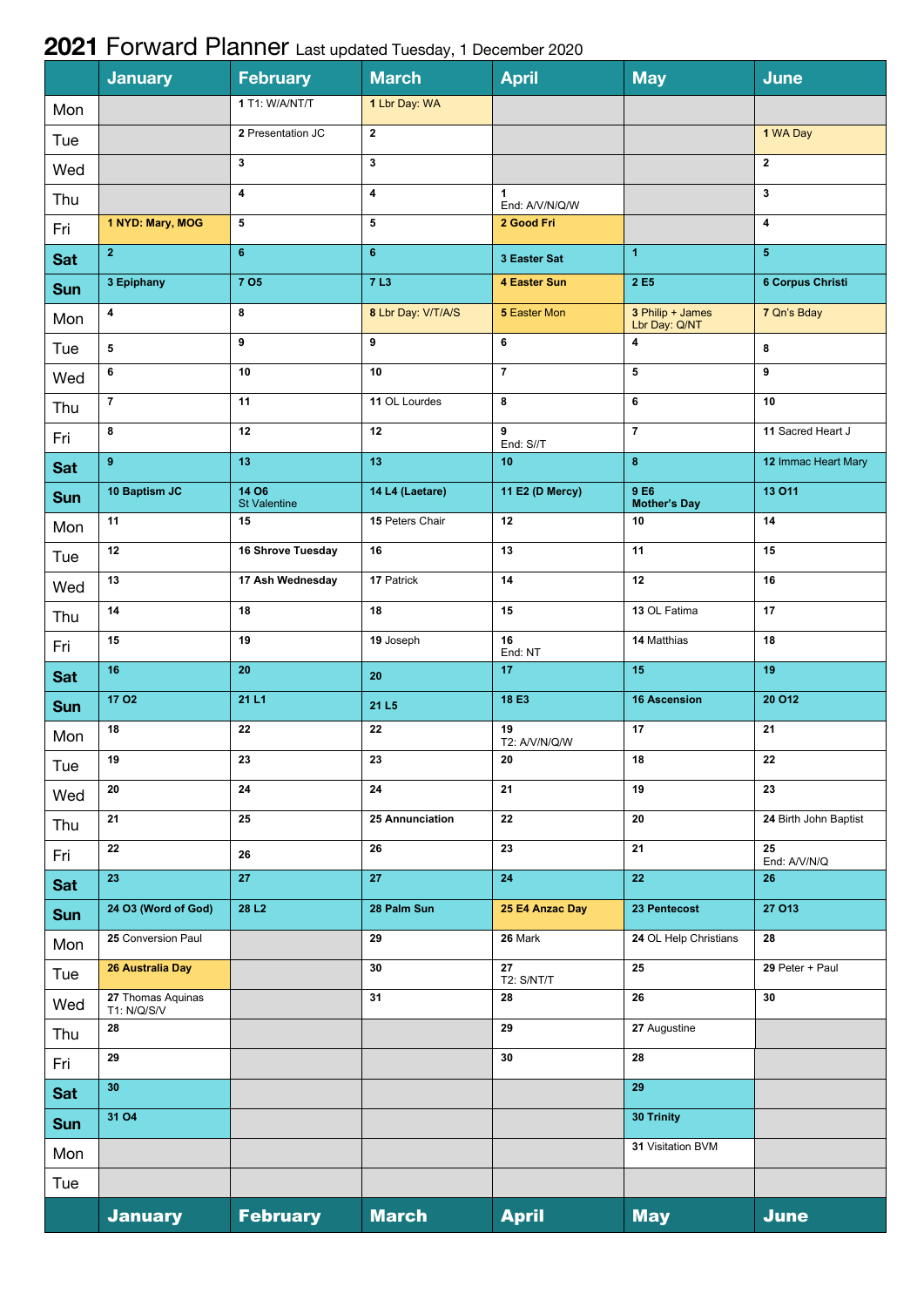## **2021** Forward Planner Last updated Tuesday, 1 December 2020

|            | <b>January</b>                   | <b>February</b>                     | <b>March</b>       | <b>April</b>            | <b>May</b>                        | June                    |
|------------|----------------------------------|-------------------------------------|--------------------|-------------------------|-----------------------------------|-------------------------|
| Mon        |                                  | 1 T1: W/A/NT/T                      | 1 Lbr Day: WA      |                         |                                   |                         |
| Tue        |                                  | 2 Presentation JC                   | $\overline{2}$     |                         |                                   | 1 WA Day                |
| Wed        |                                  | 3                                   | 3                  |                         |                                   | $\mathbf{2}$            |
| Thu        |                                  | $\overline{\mathbf{4}}$             | 4                  | 1<br>End: A/V/N/Q/W     |                                   | 3                       |
| Fri        | 1 NYD: Mary, MOG                 | 5                                   | 5                  | 2 Good Fri              |                                   | 4                       |
| <b>Sat</b> | 2 <sup>1</sup>                   | 6 <sup>°</sup>                      | $6\phantom{a}$     | 3 Easter Sat            | $\blacktriangleleft$              | 5 <sup>5</sup>          |
| <b>Sun</b> | 3 Epiphany                       | <b>7 O5</b>                         | <b>7L3</b>         | 4 Easter Sun            | 2 E <sub>5</sub>                  | <b>6 Corpus Christi</b> |
| Mon        | 4                                | 8                                   | 8 Lbr Day: V/T/A/S | 5 Easter Mon            | 3 Philip + James<br>Lbr Day: Q/NT | 7 Qn's Bday             |
| Tue        | 5                                | 9                                   | 9                  | 6                       | $\pmb{4}$                         | 8                       |
| Wed        | 6                                | 10                                  | 10                 | $\overline{7}$          | $\overline{\mathbf{5}}$           | 9                       |
| Thu        | $\overline{7}$                   | 11                                  | 11 OL Lourdes      | 8                       | 6                                 | 10                      |
| Fri        | 8                                | 12                                  | 12                 | 9<br>End: S//T          | $\overline{7}$                    | 11 Sacred Heart J       |
| <b>Sat</b> | $\mathbf{9}$                     | 13                                  | 13                 | 10 <sub>1</sub>         | $\bf 8$                           | 12 Immac Heart Mary     |
| <b>Sun</b> | 10 Baptism JC                    | <b>14 O6</b><br><b>St Valentine</b> | 14 L4 (Laetare)    | 11 E2 (D Mercy)         | 9 E6<br><b>Mother's Day</b>       | 13 011                  |
| Mon        | 11                               | 15                                  | 15 Peters Chair    | 12                      | 10                                | 14                      |
| Tue        | 12                               | 16 Shrove Tuesday                   | 16                 | 13                      | 11                                | 15                      |
| Wed        | 13                               | 17 Ash Wednesday                    | 17 Patrick         | 14                      | 12                                | 16                      |
| Thu        | 14                               | 18                                  | 18                 | 15                      | 13 OL Fatima                      | 17                      |
| Fri        | 15                               | 19                                  | 19 Joseph          | 16<br>End: NT           | 14 Matthias                       | 18                      |
| <b>Sat</b> | 16                               | 20                                  | 20                 | 17                      | 15                                | 19                      |
| Sun        | <b>17 O2</b>                     | 21 L1                               | 21 L <sub>5</sub>  | 18 E3                   | <b>16 Ascension</b>               | <b>20 O12</b>           |
| Mon        | 18                               | 22                                  | 22                 | 19<br>T2: A/V/N/Q/W     | 17                                | 21                      |
| Tue        | 19                               | 23                                  | 23                 | ${\bf 20}$              | 18                                | $\bf 22$                |
| Wed        | 20                               | 24                                  | 24                 | 21                      | 19                                | 23                      |
| Thu        | 21                               | 25                                  | 25 Annunciation    | 22                      | 20                                | 24 Birth John Baptist   |
| Fri        | 22                               | 26                                  | 26                 | 23                      | 21                                | 25<br>End: A/V/N/Q      |
| Sat        | 23                               | 27                                  | 27                 | 24                      | 22                                | 26                      |
| <b>Sun</b> | 24 O3 (Word of God)              | 28 L <sub>2</sub>                   | 28 Palm Sun        | 25 E4 Anzac Day         | 23 Pentecost                      | <b>27 O13</b>           |
| Mon        | 25 Conversion Paul               |                                     | 29                 | 26 Mark                 | 24 OL Help Christians             | 28                      |
| Tue        | 26 Australia Day                 |                                     | 30                 | 27<br><b>T2: S/NT/T</b> | 25                                | 29 Peter + Paul         |
| Wed        | 27 Thomas Aquinas<br>T1: N/Q/S/V |                                     | 31                 | 28                      | 26                                | 30                      |
| Thu        | 28                               |                                     |                    | 29                      | 27 Augustine                      |                         |
| Fri        | 29                               |                                     |                    | 30                      | 28                                |                         |
| Sat        | 30                               |                                     |                    |                         | 29                                |                         |
| Sun        | <b>31 O4</b>                     |                                     |                    |                         | 30 Trinity                        |                         |
| Mon        |                                  |                                     |                    |                         | 31 Visitation BVM                 |                         |
| Tue        |                                  |                                     |                    |                         |                                   |                         |
|            | <b>January</b>                   | <b>February</b>                     | <b>March</b>       | <b>April</b>            | <b>May</b>                        | <b>June</b>             |